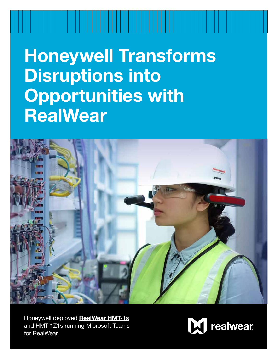**Honeywell Transforms Disruptions into Opportunities with RealWear**



Honeywell deployed **[RealWear HMT-1s](https://realwear.com/products/hmt-1/)** and HMT-1Z1s running Microsoft Teams for RealWear.

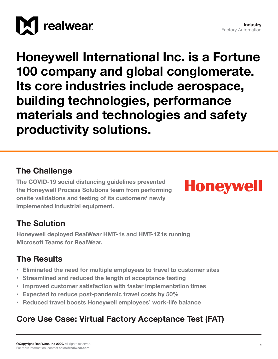

**Honeywell International Inc. is a Fortune 100 company and global conglomerate. Its core industries include aerospace, building technologies, performance materials and technologies and safety productivity solutions.**

## **The Challenge**

**The COVID-19 social distancing guidelines prevented the Honeywell Process Solutions team from performing onsite validations and testing of its customers' newly implemented industrial equipment.**



## **The Solution**

**Honeywell deployed RealWear HMT-1s and HMT-1Z1s running Microsoft Teams for RealWear.** 

## **The Results**

- **• Eliminated the need for multiple employees to travel to customer sites**
- **• Streamlined and reduced the length of acceptance testing**
- **• Improved customer satisfaction with faster implementation times**
- **• Expected to reduce post-pandemic travel costs by 50%**
- **• Reduced travel boosts Honeywell employees' work-life balance**

## **Core Use Case: Virtual Factory Acceptance Test (FAT)**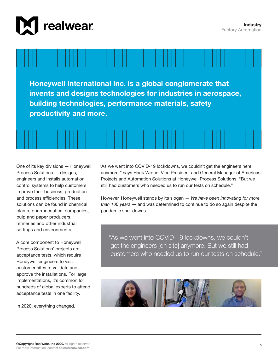

**Honeywell International Inc. is a global conglomerate that invents and designs technologies for industries in aerospace, building technologies, performance materials, safety productivity and more.** 



One of its key divisions — Honeywell Process Solutions — designs, engineers and installs automation control systems to help customers improve their business, production and process efficiencies. These solutions can be found in chemical plants, pharmaceutical companies, pulp and paper producers, refineries and other industrial settings and environments.

A core component to Honeywell Process Solutions' projects are acceptance tests, which require Honeywell engineers to visit customer sites to validate and approve the installations. For large implementations, it's common for hundreds of global experts to attend acceptance tests in one facility.

In 2020, everything changed.

"As we went into COVID-19 lockdowns, we couldn't get the engineers here anymore," says Hank Wrenn, Vice President and General Manager of Americas Projects and Automation Solutions at Honeywell Process Solutions. "But we still had customers who needed us to run our tests on schedule."

However, Honeywell stands by its slogan — *We have been innovating for more than 100 years* — and was determined to continue to do so again despite the pandemic shut downs.

"As we went into COVID-19 lockdowns, we couldn't get the engineers [on site] anymore. But we still had customers who needed us to run our tests on schedule."

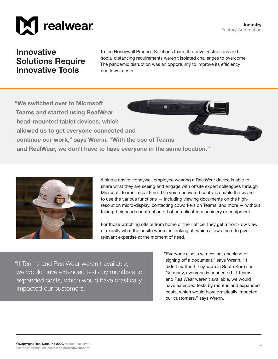

### **Innovative Solutions Require Innovative Tools**

To the Honeywell Process Solutions team, the travel restrictions and social distancing requirements weren't isolated challenges to overcome. The pandemic disruption was an opportunity to improve its efficiency and lower costs.

**"We switched over to Microsoft Teams and started using RealWear head-mounted tablet devices, which allowed us to get everyone connected and continue our work," says Wrenn. "With the use of Teams and RealWear, we don't have to have everyone in the same location."**



A single onsite Honeywell employee wearing a RealWear device is able to share what they are seeing and engage with offsite expert colleagues through Microsoft Teams in real time. The voice-activated controls enable the wearer to use the various functions — including viewing documents on the highresolution micro-display, contacting coworkers on Teams, and more — without taking their hands or attention off of complicated machinery or equipment.

For those watching offsite from home or their office, they get a front-row view of exactly what the onsite worker is looking at, which allows them to give relevant expertise at the moment of need.

"If Teams and RealWear weren't available, we would have extended tests by months and expanded costs, which would have drastically impacted our customers."

"Everyone else is witnessing, checking or signing off a document," says Wrenn. "It didn't matter if they were in South Korea or Germany, everyone is connected. If Teams and RealWear weren't available, we would have extended tests by months and expanded costs, which would have drastically impacted our customers," says Wrenn.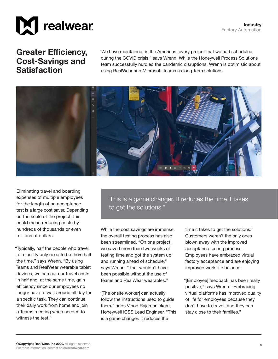



#### **Greater Efficiency, Cost-Savings and Satisfaction**

"We have maintained, in the Americas, every project that we had scheduled during the COVID crisis," says Wrenn. While the Honeywell Process Solutions team successfully hurdled the pandemic disruptions, Wrenn is optimistic about using RealWear and Microsoft Teams as long-term solutions.



Eliminating travel and boarding expenses of multiple employees for the length of an acceptance test is a large cost saver. Depending on the scale of the project, this could mean reducing costs by hundreds of thousands or even millions of dollars.

"Typically, half the people who travel to a facility only need to be there half the time," says Wrenn. "By using Teams and RealWear wearable tablet devices, we can cut our travel costs in half and, at the same time, gain efficiency since our employees no longer have to wait around all day for a specific task. They can continue their daily work from home and join a Teams meeting when needed to witness the test."

"This is a game changer. It reduces the time it takes to get the solutions."

While the cost savings are immense, the overall testing process has also been streamlined. "On one project, we saved more than two weeks of testing time and got the system up and running ahead of schedule," says Wrenn. "That wouldn't have been possible without the use of Teams and RealWear wearables."

"[The onsite worker] can actually follow the instructions used to guide them," adds Vinod Rajamanickam, Honeywell ICSS Lead Engineer. "This is a game changer. It reduces the

time it takes to get the solutions." Customers weren't the only ones blown away with the improved acceptance testing process. Employees have embraced virtual factory acceptance and are enjoying improved work-life balance.

"[Employee] feedback has been really positive," says Wrenn. "Embracing virtual platforms has improved quality of life for employees because they don't have to travel, and they can stay close to their families."